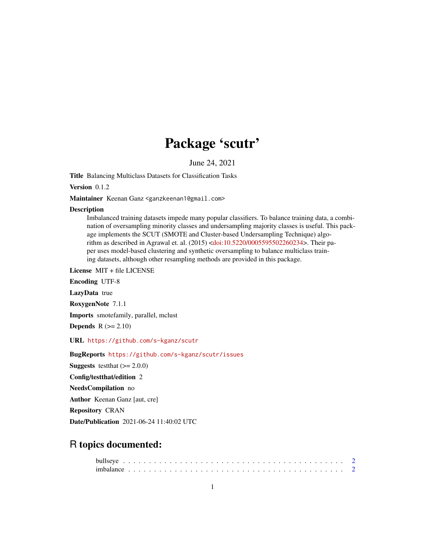## Package 'scutr'

June 24, 2021

<span id="page-0-0"></span>Title Balancing Multiclass Datasets for Classification Tasks

Version 0.1.2

Maintainer Keenan Ganz <ganzkeenan1@gmail.com>

#### **Description**

Imbalanced training datasets impede many popular classifiers. To balance training data, a combination of oversampling minority classes and undersampling majority classes is useful. This package implements the SCUT (SMOTE and Cluster-based Undersampling Technique) algorithm as described in Agrawal et. al. (2015) [<doi:10.5220/0005595502260234>](https://doi.org/10.5220/0005595502260234). Their paper uses model-based clustering and synthetic oversampling to balance multiclass training datasets, although other resampling methods are provided in this package.

License MIT + file LICENSE

Encoding UTF-8

LazyData true

RoxygenNote 7.1.1

Imports smotefamily, parallel, mclust

Depends  $R$  ( $>= 2.10$ )

URL <https://github.com/s-kganz/scutr>

BugReports <https://github.com/s-kganz/scutr/issues>

**Suggests** testthat  $(>= 2.0.0)$ 

Config/testthat/edition 2

NeedsCompilation no

Author Keenan Ganz [aut, cre]

Repository CRAN

Date/Publication 2021-06-24 11:40:02 UTC

### R topics documented: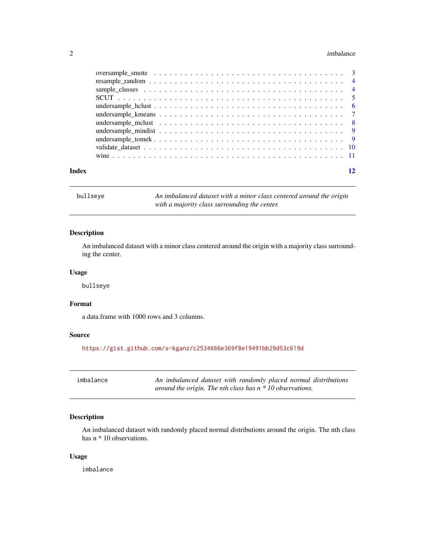#### <span id="page-1-0"></span>2 imbalance is a state of the contract of the contract of the contract of the contract of the contract of the contract of the contract of the contract of the contract of the contract of the contract of the contract of the

| Index | 12 |
|-------|----|
|       |    |
|       |    |
|       |    |
|       |    |
|       |    |
|       |    |
|       |    |
|       |    |
|       |    |
|       |    |
|       |    |

bullseye *An imbalanced dataset with a minor class centered around the origin with a majority class surrounding the center.*

#### Description

An imbalanced dataset with a minor class centered around the origin with a majority class surrounding the center.

#### Usage

bullseye

#### Format

a data.frame with 1000 rows and 3 columns.

#### Source

<https://gist.github.com/s-kganz/c2534666e369f8e19491bb29d53c619d>

| imbalance | An imbalanced dataset with randomly placed normal distributions |
|-----------|-----------------------------------------------------------------|
|           | around the origin. The nth class has $n * 10$ observations.     |

#### Description

An imbalanced dataset with randomly placed normal distributions around the origin. The nth class has n \* 10 observations.

#### Usage

imbalance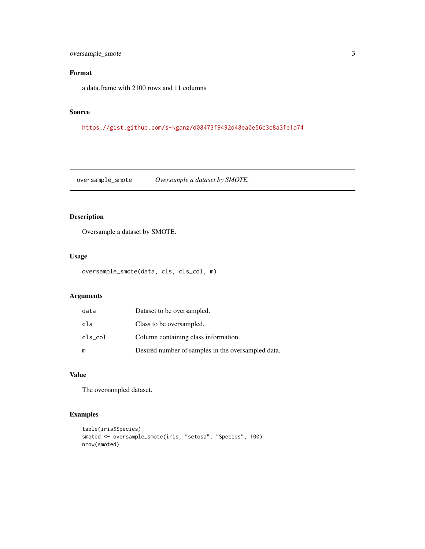#### <span id="page-2-0"></span>oversample\_smote 3

#### Format

a data.frame with 2100 rows and 11 columns

#### Source

<https://gist.github.com/s-kganz/d08473f9492d48ea0e56c3c8a3fe1a74>

oversample\_smote *Oversample a dataset by SMOTE.*

#### Description

Oversample a dataset by SMOTE.

#### Usage

```
oversample_smote(data, cls, cls_col, m)
```
#### Arguments

| data       | Dataset to be oversampled.                         |
|------------|----------------------------------------------------|
| cls        | Class to be oversampled.                           |
| $cls\_col$ | Column containing class information.               |
| m          | Desired number of samples in the oversampled data. |

#### Value

The oversampled dataset.

#### Examples

```
table(iris$Species)
smoted <- oversample_smote(iris, "setosa", "Species", 100)
nrow(smoted)
```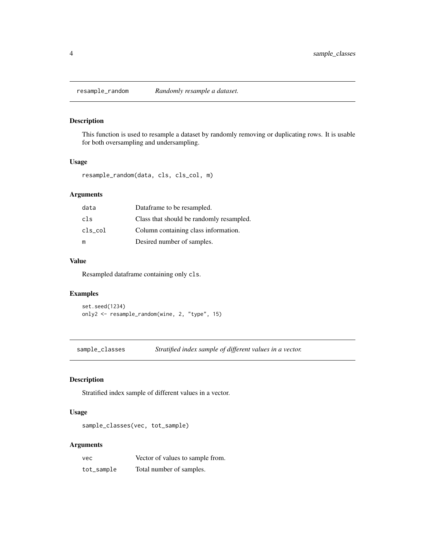<span id="page-3-1"></span><span id="page-3-0"></span>

#### Description

This function is used to resample a dataset by randomly removing or duplicating rows. It is usable for both oversampling and undersampling.

#### Usage

resample\_random(data, cls, cls\_col, m)

#### Arguments

| data       | Dataframe to be resampled.               |
|------------|------------------------------------------|
| cls        | Class that should be randomly resampled. |
| $cls\_col$ | Column containing class information.     |
| m          | Desired number of samples.               |

#### Value

Resampled dataframe containing only cls.

#### Examples

set.seed(1234) only2 <- resample\_random(wine, 2, "type", 15)

sample\_classes *Stratified index sample of different values in a vector.*

#### Description

Stratified index sample of different values in a vector.

#### Usage

sample\_classes(vec, tot\_sample)

#### Arguments

| vec        | Vector of values to sample from. |
|------------|----------------------------------|
| tot_sample | Total number of samples.         |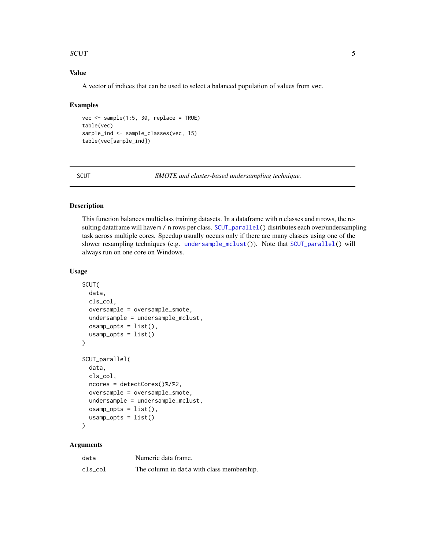#### <span id="page-4-0"></span>SCUT 5

#### Value

A vector of indices that can be used to select a balanced population of values from vec.

#### Examples

```
vec <- sample(1:5, 30, replace = TRUE)
table(vec)
sample_ind <- sample_classes(vec, 15)
table(vec[sample_ind])
```
SCUT *SMOTE and cluster-based undersampling technique.*

#### <span id="page-4-1"></span>Description

This function balances multiclass training datasets. In a dataframe with n classes and m rows, the re-sulting dataframe will have m / n rows per class. [SCUT\\_parallel\(](#page-4-1)) distributes each over/undersampling task across multiple cores. Speedup usually occurs only if there are many classes using one of the slower resampling techniques (e.g. [undersample\\_mclust\(](#page-7-1))). Note that [SCUT\\_parallel\(](#page-4-1)) will always run on one core on Windows.

#### Usage

```
SCUT(
  data,
  cls_col,
  oversample = oversample_smote,
  undersample = undersample_mclust,
  osamp_opts = list(),usamp\_opts = list())
SCUT_parallel(
  data,
  cls_col,
  ncores = detectCores()%/%2,
  oversample = oversample_smote,
  undersample = undersample_mclust,
  osamp_opts = list(),
  usamp\_opts = list())
```
#### Arguments

| data    | Numeric data frame.                       |
|---------|-------------------------------------------|
| cls col | The column in data with class membership. |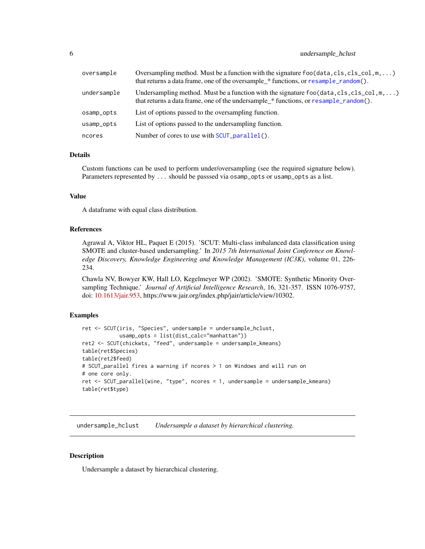#### <span id="page-5-0"></span>6 undersample\_hclust

| oversample  | Oversampling method. Must be a function with the signature $foo(data, cls, cls_{col}, m, )$<br>that returns a data frame, one of the oversample_* functions, or resample_random(). |
|-------------|------------------------------------------------------------------------------------------------------------------------------------------------------------------------------------|
| undersample | Undersampling method. Must be a function with the signature foo (data, cls, cls_col, m, )<br>that returns a data frame, one of the undersample_* functions, or resample_random().  |
| osamp_opts  | List of options passed to the oversampling function.                                                                                                                               |
| usamp_opts  | List of options passed to the undersampling function.                                                                                                                              |
| ncores      | Number of cores to use with SCUT_parallel().                                                                                                                                       |

#### Details

Custom functions can be used to perform under/oversampling (see the required signature below). Parameters represented by ... should be passsed via osamp\_opts or usamp\_opts as a list.

#### Value

A dataframe with equal class distribution.

#### References

Agrawal A, Viktor HL, Paquet E (2015). 'SCUT: Multi-class imbalanced data classification using SMOTE and cluster-based undersampling.' In *2015 7th International Joint Conference on Knowledge Discovery, Knowledge Engineering and Knowledge Management (IC3K)*, volume 01, 226- 234.

Chawla NV, Bowyer KW, Hall LO, Kegelmeyer WP (2002). 'SMOTE: Synthetic Minority Oversampling Technique.' *Journal of Artificial Intelligence Research*, 16, 321-357. ISSN 1076-9757, doi: [10.1613/jair.953,](https://doi.org/10.1613/jair.953) https://www.jair.org/index.php/jair/article/view/10302.

#### Examples

```
ret <- SCUT(iris, "Species", undersample = undersample_hclust,
            usamp_opts = list(dist_calc="manhattan"))
ret2 <- SCUT(chickwts, "feed", undersample = undersample_kmeans)
table(ret$Species)
table(ret2$feed)
# SCUT_parallel fires a warning if ncores > 1 on Windows and will run on
# one core only.
ret <- SCUT_parallel(wine, "type", ncores = 1, undersample = undersample_kmeans)
table(ret$type)
```
undersample\_hclust *Undersample a dataset by hierarchical clustering.*

#### Description

Undersample a dataset by hierarchical clustering.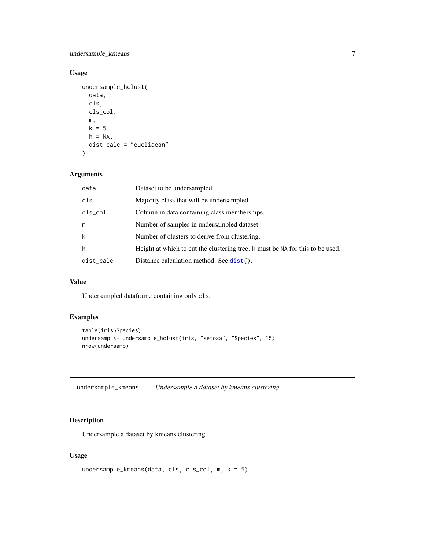<span id="page-6-0"></span>undersample\_kmeans 7

#### Usage

```
undersample_hclust(
  data,
  cls,
 cls_col,
 m,
 k = 5,
 h = NA,
 dist_calc = "euclidean"
)
```
#### Arguments

| data       | Dataset to be undersampled.                                                   |
|------------|-------------------------------------------------------------------------------|
| cls        | Majority class that will be undersampled.                                     |
| $cls\_col$ | Column in data containing class memberships.                                  |
| m          | Number of samples in undersampled dataset.                                    |
| k          | Number of clusters to derive from clustering.                                 |
| h          | Height at which to cut the clustering tree. k must be NA for this to be used. |
| dist_calc  | Distance calculation method. See dist().                                      |

#### Value

Undersampled dataframe containing only cls.

#### Examples

```
table(iris$Species)
undersamp <- undersample_hclust(iris, "setosa", "Species", 15)
nrow(undersamp)
```
undersample\_kmeans *Undersample a dataset by kmeans clustering.*

#### Description

Undersample a dataset by kmeans clustering.

#### Usage

```
undersample_kmeans(data, cls, cls_col, m, k = 5)
```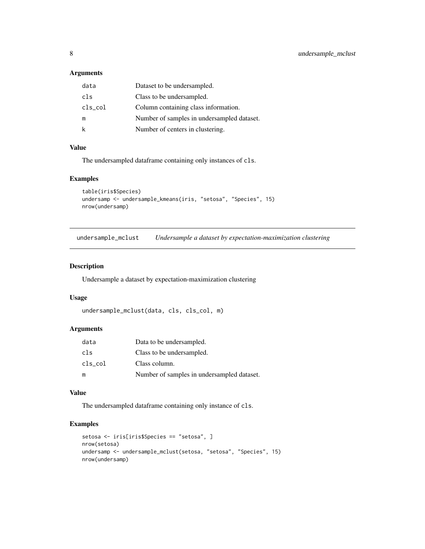#### <span id="page-7-0"></span>Arguments

| data       | Dataset to be undersampled.                |
|------------|--------------------------------------------|
| cls        | Class to be undersampled.                  |
| $cls\_col$ | Column containing class information.       |
| m          | Number of samples in undersampled dataset. |
| k          | Number of centers in clustering.           |

#### Value

The undersampled dataframe containing only instances of cls.

#### Examples

```
table(iris$Species)
undersamp <- undersample_kmeans(iris, "setosa", "Species", 15)
nrow(undersamp)
```
<span id="page-7-1"></span>undersample\_mclust *Undersample a dataset by expectation-maximization clustering*

#### Description

Undersample a dataset by expectation-maximization clustering

#### Usage

```
undersample_mclust(data, cls, cls_col, m)
```
#### Arguments

| data       | Data to be undersampled.                   |
|------------|--------------------------------------------|
| cls        | Class to be undersampled.                  |
| $cls\_col$ | Class column.                              |
| m          | Number of samples in undersampled dataset. |

#### Value

The undersampled dataframe containing only instance of cls.

#### Examples

```
setosa <- iris[iris$Species == "setosa", ]
nrow(setosa)
undersamp <- undersample_mclust(setosa, "setosa", "Species", 15)
nrow(undersamp)
```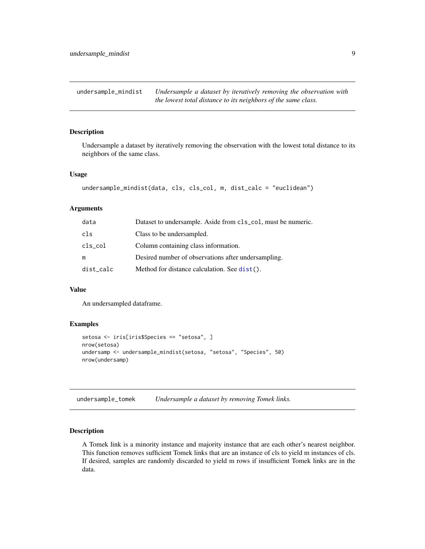<span id="page-8-0"></span>undersample\_mindist *Undersample a dataset by iteratively removing the observation with the lowest total distance to its neighbors of the same class.*

#### Description

Undersample a dataset by iteratively removing the observation with the lowest total distance to its neighbors of the same class.

#### Usage

```
undersample_mindist(data, cls, cls_col, m, dist_calc = "euclidean")
```
#### Arguments

| data       | Dataset to undersample. Aside from cls_col, must be numeric. |
|------------|--------------------------------------------------------------|
| cls        | Class to be undersampled.                                    |
| $cls\_col$ | Column containing class information.                         |
| m          | Desired number of observations after undersampling.          |
| dist_calc  | Method for distance calculation. See dist().                 |

#### Value

An undersampled dataframe.

#### Examples

```
setosa <- iris[iris$Species == "setosa", ]
nrow(setosa)
undersamp <- undersample_mindist(setosa, "setosa", "Species", 50)
nrow(undersamp)
```
undersample\_tomek *Undersample a dataset by removing Tomek links.*

#### Description

A Tomek link is a minority instance and majority instance that are each other's nearest neighbor. This function removes sufficient Tomek links that are an instance of cls to yield m instances of cls. If desired, samples are randomly discarded to yield m rows if insufficient Tomek links are in the data.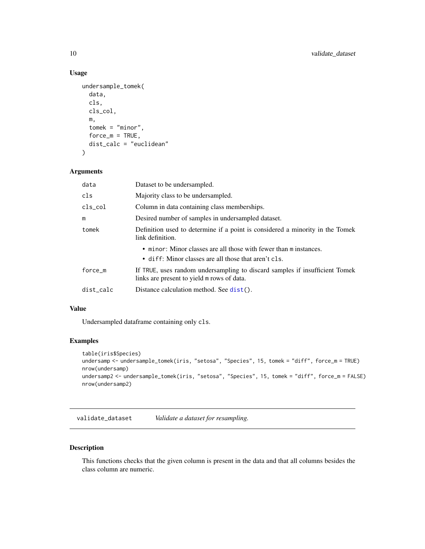#### Usage

```
undersample_tomek(
  data,
  cls,
  cls_col,
  m,
  tomek = "minor",
  force_m = TRUE,dist_calc = "euclidean"
\mathcal{L}
```
#### Arguments

| data      | Dataset to be undersampled.                                                                                               |
|-----------|---------------------------------------------------------------------------------------------------------------------------|
| cls       | Majority class to be undersampled.                                                                                        |
| cls_col   | Column in data containing class memberships.                                                                              |
| m         | Desired number of samples in undersampled dataset.                                                                        |
| tomek     | Definition used to determine if a point is considered a minority in the Tomek<br>link definition.                         |
|           | • minor: Minor classes are all those with fewer than m instances.<br>• diff: Minor classes are all those that aren't cls. |
| force m   | If TRUE, uses random undersampling to discard samples if insufficient Tomek<br>links are present to yield m rows of data. |
| dist_calc | Distance calculation method. See $dist()$ .                                                                               |

#### Value

Undersampled dataframe containing only cls.

#### Examples

```
table(iris$Species)
undersamp <- undersample_tomek(iris, "setosa", "Species", 15, tomek = "diff", force_m = TRUE)
nrow(undersamp)
undersamp2 <- undersample_tomek(iris, "setosa", "Species", 15, tomek = "diff", force_m = FALSE)
nrow(undersamp2)
```
validate\_dataset *Validate a dataset for resampling.*

#### Description

This functions checks that the given column is present in the data and that all columns besides the class column are numeric.

<span id="page-9-0"></span>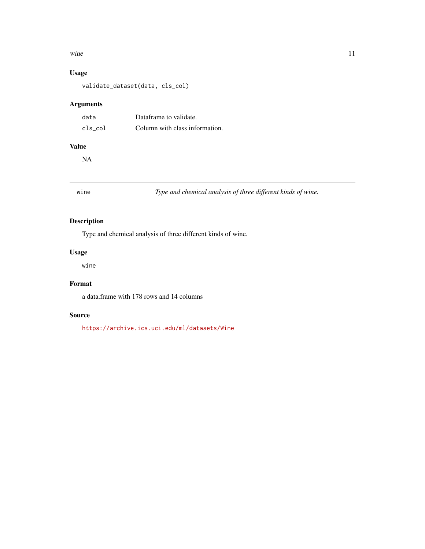#### <span id="page-10-0"></span>wine  $\frac{11}{2}$

#### Usage

validate\_dataset(data, cls\_col)

#### Arguments

| data    | Dataframe to validate.         |
|---------|--------------------------------|
| cls col | Column with class information. |

#### Value

NA

wine *Type and chemical analysis of three different kinds of wine.*

#### Description

Type and chemical analysis of three different kinds of wine.

#### Usage

wine

#### Format

a data.frame with 178 rows and 14 columns

#### Source

<https://archive.ics.uci.edu/ml/datasets/Wine>